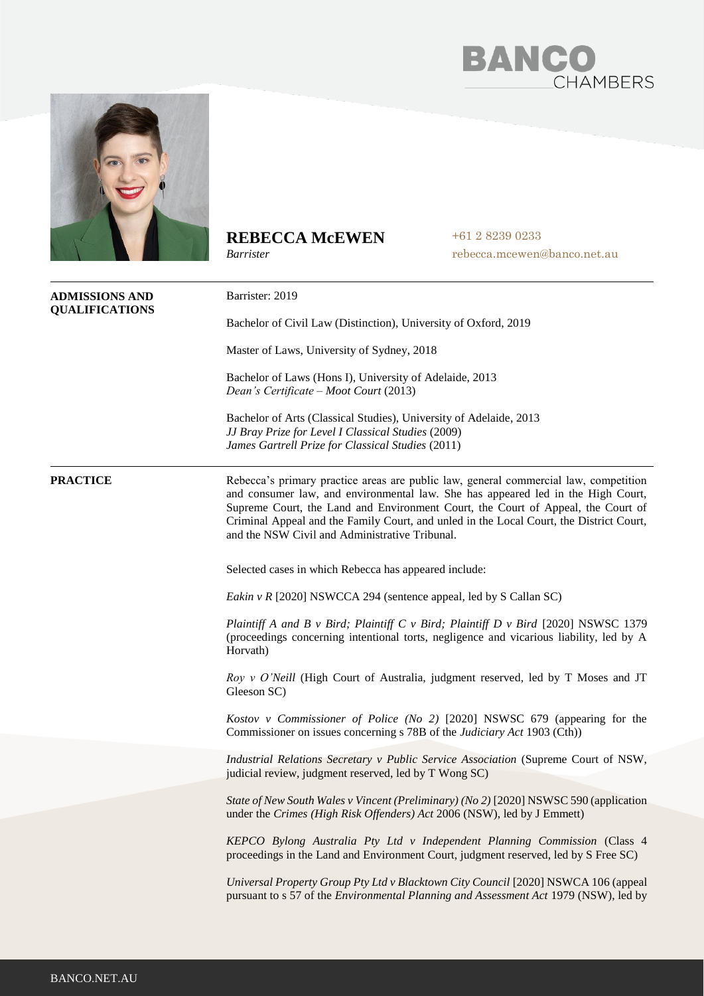



## **REBECCA McEWEN**

*Barrister*

+61 2 8239 0233 rebecca.mcewen@banco.net.au

| <b>ADMISSIONS AND</b><br><b>QUALIFICATIONS</b> | Barrister: 2019                                                                                                                                                                                                                                                                                                                                                                                           |
|------------------------------------------------|-----------------------------------------------------------------------------------------------------------------------------------------------------------------------------------------------------------------------------------------------------------------------------------------------------------------------------------------------------------------------------------------------------------|
|                                                | Bachelor of Civil Law (Distinction), University of Oxford, 2019                                                                                                                                                                                                                                                                                                                                           |
|                                                | Master of Laws, University of Sydney, 2018                                                                                                                                                                                                                                                                                                                                                                |
|                                                | Bachelor of Laws (Hons I), University of Adelaide, 2013<br>Dean's Certificate – Moot Court (2013)                                                                                                                                                                                                                                                                                                         |
|                                                | Bachelor of Arts (Classical Studies), University of Adelaide, 2013<br>JJ Bray Prize for Level I Classical Studies (2009)<br>James Gartrell Prize for Classical Studies (2011)                                                                                                                                                                                                                             |
| <b>PRACTICE</b>                                | Rebecca's primary practice areas are public law, general commercial law, competition<br>and consumer law, and environmental law. She has appeared led in the High Court,<br>Supreme Court, the Land and Environment Court, the Court of Appeal, the Court of<br>Criminal Appeal and the Family Court, and unled in the Local Court, the District Court,<br>and the NSW Civil and Administrative Tribunal. |
|                                                | Selected cases in which Rebecca has appeared include:                                                                                                                                                                                                                                                                                                                                                     |
|                                                | Eakin v R [2020] NSWCCA 294 (sentence appeal, led by S Callan SC)                                                                                                                                                                                                                                                                                                                                         |
|                                                | Plaintiff A and B v Bird; Plaintiff C v Bird; Plaintiff D v Bird [2020] NSWSC 1379<br>(proceedings concerning intentional torts, negligence and vicarious liability, led by A<br>Horvath)                                                                                                                                                                                                                 |
|                                                | Roy v O'Neill (High Court of Australia, judgment reserved, led by T Moses and JT<br>Gleeson SC)                                                                                                                                                                                                                                                                                                           |
|                                                | Kostov v Commissioner of Police (No 2) [2020] NSWSC 679 (appearing for the<br>Commissioner on issues concerning s 78B of the <i>Judiciary Act</i> 1903 (Cth))                                                                                                                                                                                                                                             |
|                                                | Industrial Relations Secretary v Public Service Association (Supreme Court of NSW,<br>judicial review, judgment reserved, led by T Wong SC)                                                                                                                                                                                                                                                               |
|                                                | State of New South Wales v Vincent (Preliminary) (No 2) [2020] NSWSC 590 (application<br>under the Crimes (High Risk Offenders) Act 2006 (NSW), led by J Emmett)                                                                                                                                                                                                                                          |
|                                                | KEPCO Bylong Australia Pty Ltd v Independent Planning Commission (Class 4<br>proceedings in the Land and Environment Court, judgment reserved, led by S Free SC)                                                                                                                                                                                                                                          |
|                                                | Universal Property Group Pty Ltd v Blacktown City Council [2020] NSWCA 106 (appeal<br>pursuant to s 57 of the <i>Environmental Planning and Assessment Act</i> 1979 (NSW), led by                                                                                                                                                                                                                         |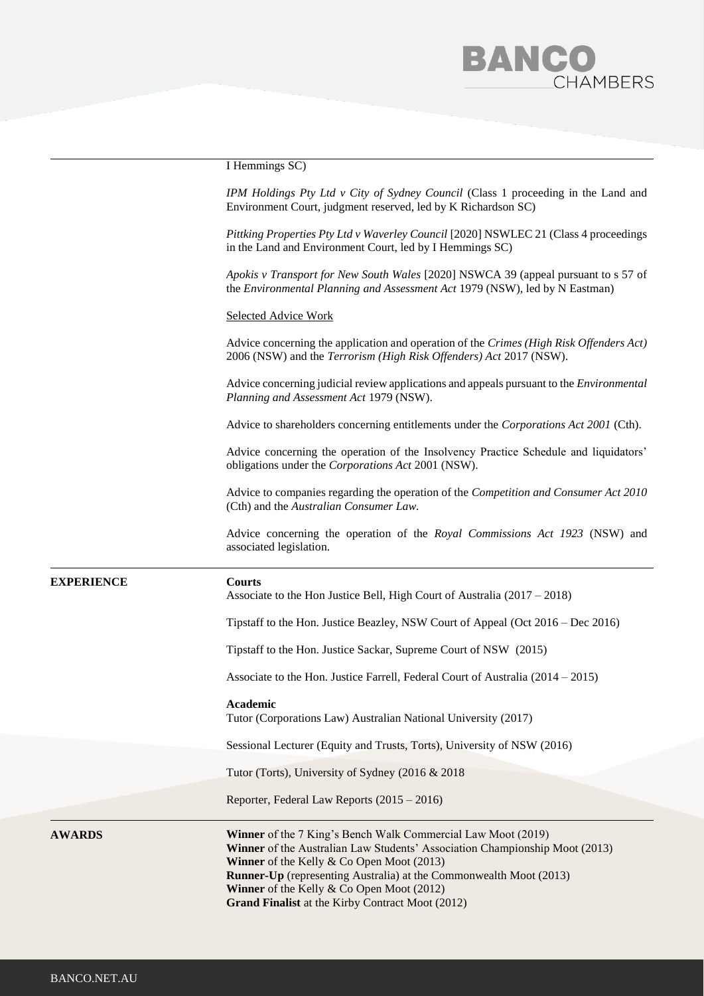# BANC **HAMBERS**

I Hemmings SC)

*IPM Holdings Pty Ltd v City of Sydney Council* (Class 1 proceeding in the Land and Environment Court, judgment reserved, led by K Richardson SC)

*Pittking Properties Pty Ltd v Waverley Council* [2020] NSWLEC 21 (Class 4 proceedings in the Land and Environment Court, led by I Hemmings SC)

*Apokis v Transport for New South Wales* [2020] NSWCA 39 (appeal pursuant to s 57 of the *Environmental Planning and Assessment Act* 1979 (NSW), led by N Eastman)

### Selected Advice Work

Advice concerning the application and operation of the *Crimes (High Risk Offenders Act)* 2006 (NSW) and the *Terrorism (High Risk Offenders) Act* 2017 (NSW).

Advice concerning judicial review applications and appeals pursuant to the *Environmental Planning and Assessment Act* 1979 (NSW).

Advice to shareholders concerning entitlements under the *Corporations Act 2001* (Cth).

Advice concerning the operation of the Insolvency Practice Schedule and liquidators' obligations under the *Corporations Act* 2001 (NSW).

Advice to companies regarding the operation of the *Competition and Consumer Act 2010*  (Cth) and the *Australian Consumer Law.* 

Advice concerning the operation of the *Royal Commissions Act 1923* (NSW) and associated legislation.

### **EXPERIENCE Courts**

Associate to the Hon Justice Bell, High Court of Australia (2017 – 2018)

Tipstaff to the Hon. Justice Beazley, NSW Court of Appeal (Oct 2016 – Dec 2016)

Tipstaff to the Hon. Justice Sackar, Supreme Court of NSW (2015)

Associate to the Hon. Justice Farrell, Federal Court of Australia (2014 – 2015)

### **Academic**

Tutor (Corporations Law) Australian National University (2017)

Sessional Lecturer (Equity and Trusts, Torts), University of NSW (2016)

Tutor (Torts), University of Sydney (2016 & 2018

Reporter, Federal Law Reports (2015 – 2016)

**AWARDS Winner** of the 7 King's Bench Walk Commercial Law Moot (2019) **Winner** of the Australian Law Students' Association Championship Moot (2013) **Winner** of the Kelly & Co Open Moot (2013) **Runner-Up** (representing Australia) at the Commonwealth Moot (2013) **Winner** of the Kelly & Co Open Moot (2012) **Grand Finalist** at the Kirby Contract Moot (2012)